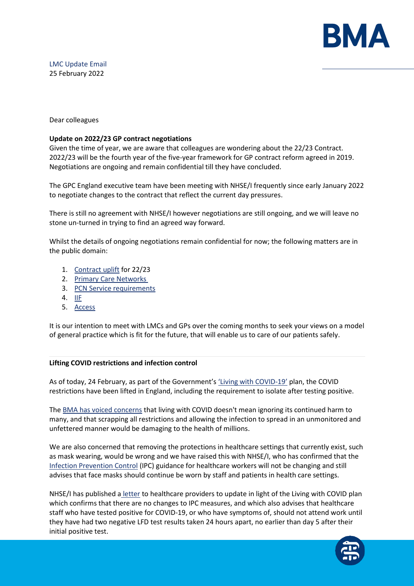

LMC Update Email 25 February 2022

Dear colleagues

## **Update on 2022/23 GP contract negotiations**

Given the time of year, we are aware that colleagues are wondering about the 22/23 Contract. 2022/23 will be the fourth year of the five-year framework for GP contract reform agreed in 2019. Negotiations are ongoing and remain confidential till they have concluded.

The GPC England executive team have been meeting with NHSE/I frequently since early January 2022 to negotiate changes to the contract that reflect the current day pressures.

There is still no agreement with NHSE/I however negotiations are still ongoing, and we will leave no stone un-turned in trying to find an agreed way forward.

Whilst the details of ongoing negotiations remain confidential for now; the following matters are in the public domain:

- 1. [Contract uplift](https://protect-eu.mimecast.com/s/6mrxCl711c2xYzvCGQ4YR?domain=england.nhs.uk) for 22/23
- 2. [Primary Care Networks](https://protect-eu.mimecast.com/s/9bjnCmy55FjzQRrIOUi3r?domain=england.nhs.uk)
- 3. [PCN Service requirements](https://protect-eu.mimecast.com/s/yw7DCnO11h7vR6YuNhnga?domain=england.nhs.uk)
- 4.  $IIF$
- 5. [Access](https://protect-eu.mimecast.com/s/9bjnCmy55FjzQRrIOUi3r?domain=england.nhs.uk)

It is our intention to meet with LMCs and GPs over the coming months to seek your views on a model of general practice which is fit for the future, that will enable us to care of our patients safely.

### **Lifting COVID restrictions and infection control**

As of today, 24 February, as part of the Government'[s 'Living with COVID](https://protect-eu.mimecast.com/s/C3MyCp211tnmRxBIJCQP0?domain=gov.uk)-19' plan, the COVID restrictions have been lifted in England, including the requirement to isolate after testing positive.

The [BMA has voiced concerns](https://protect-eu.mimecast.com/s/U31nCqZ11C8ZM7osrA1LC?domain=bma.org.uk) that living with COVID doesn't mean ignoring its continued harm to many, and that scrapping all restrictions and allowing the infection to spread in an unmonitored and unfettered manner would be damaging to the health of millions.

We are also concerned that removing the protections in healthcare settings that currently exist, such as mask wearing, would be wrong and we have raised this with NHSE/I, who has confirmed that the [Infection Prevention Control](https://protect-eu.mimecast.com/s/fI0wCr911U8EBDGsGxXeB?domain=gov.uk) (IPC) guidance for healthcare workers will not be changing and still advises that face masks should continue be worn by staff and patients in health care settings.

NHSE/I has published a [letter](https://protect-eu.mimecast.com/s/RblMCvZ11C7xky3u8_vSy?domain=england.nhs.uk/) to healthcare providers to update in light of the Living with COVID plan which confirms that there are no changes to IPC measures, and which also advises that healthcare staff who have tested positive for COVID-19, or who have symptoms of, should not attend work until they have had two negative LFD test results taken 24 hours apart, no earlier than day 5 after their initial positive test.

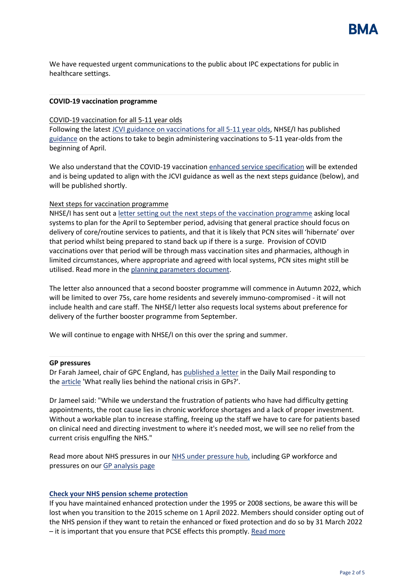

We have requested urgent communications to the public about IPC expectations for public in healthcare settings.

### **COVID-19 vaccination programme**

#### COVID-19 vaccination for all 5-11 year olds

Following the latest [JCVI guidance on vaccinations for all 5-11 year olds,](https://protect-eu.mimecast.com/s/Ky7BCwr11UGKwRWIRQHfB?domain=gov.uk) NHSE/I has publishe[d](https://protect-eu.mimecast.com/s/LscjCx1ggh1kWQ3I79LLo?domain=england.nhs.uk/) [guidance](https://protect-eu.mimecast.com/s/LscjCx1ggh1kWQ3I79LLo?domain=england.nhs.uk/) on the actions to take to begin administering vaccinations to 5-11 year-olds from the beginning of April.

We also understand that the COVID-19 vaccinatio[n enhanced service specification](https://protect-eu.mimecast.com/s/NPKUCyXjjtrZByRSnpdAg?domain=england.nhs.uk/) will be extended and is being updated to align with the JCVI guidance as well as the next steps guidance (below), and will be published shortly.

### Next steps for vaccination programme

NHSE/I has sent out a [letter setting out the next steps of the vaccination programme](https://protect-eu.mimecast.com/s/hKpECzXkktM6jmAu1ILyq?domain=england.nhs.uk/) asking local systems to plan for the April to September period, advising that general practice should focus on delivery of core/routine services to patients, and that it is likely that PCN sites will 'hibernate' over that period whilst being prepared to stand back up if there is a surge. Provision of COVID vaccinations over that period will be through mass vaccination sites and pharmacies, although in limited circumstances, where appropriate and agreed with local systems, PCN sites might still be utilised. Read more in the [planning parameters document.](https://protect-eu.mimecast.com/s/-_gDCA1pphN4D1zfk0Ub_?domain=england.nhs.uk)

The letter also announced that a second booster programme will commence in Autumn 2022, which will be limited to over 75s, care home residents and severely immuno-compromised - it will not include health and care staff. The NHSE/I letter also requests local systems about preference for delivery of the further booster programme from September.

We will continue to engage with NHSE/I on this over the spring and summer.

#### **GP pressures**

Dr Farah Jameel, chair of GPC England, has [published a letter](https://protect-eu.mimecast.com/s/4SN1CB6qqf7jLlOuMrMsn?domain=bma.org.uk) in the Daily Mail responding to the [article](https://protect-eu.mimecast.com/s/KqAQCD8vvH5q8Okhx8VUa?domain=dailymail.co.uk) 'What really lies behind the national crisis in GPs?'.

Dr Jameel said: "While we understand the frustration of patients who have had difficulty getting appointments, the root cause lies in chronic workforce shortages and a lack of proper investment. Without a workable plan to increase staffing, freeing up the staff we have to care for patients based on clinical need and directing investment to where it's needed most, we will see no relief from the current crisis engulfing the NHS."

Read more about NHS pressures in our [NHS under pressure hub,](https://protect-eu.mimecast.com/s/wXN4CExwwS3LZ6NuDVwlG?domain=bma.org.uk) including GP workforce and pressures on ou[r GP analysis page](https://protect-eu.mimecast.com/s/tdHiCG800H1kzLQImxslB?domain=bma.org.uk)

#### **[Check your NHS pension scheme protection](https://protect-eu.mimecast.com/s/ulAhCJQBBfqZjQDs7gdZt?domain=bma-mail.org.uk)**

If you have maintained enhanced protection under the 1995 or 2008 sections, be aware this will be lost when you transition to the 2015 scheme on 1 April 2022. Members should consider opting out of the NHS pension if they want to retain the enhanced or fixed protection and do so by 31 March 2022 – it is important that you ensure that PCSE effects this promptly. [Read more](https://protect-eu.mimecast.com/s/7QwPCKQDDf2ORrGC8UufW?domain=bma.org.uk)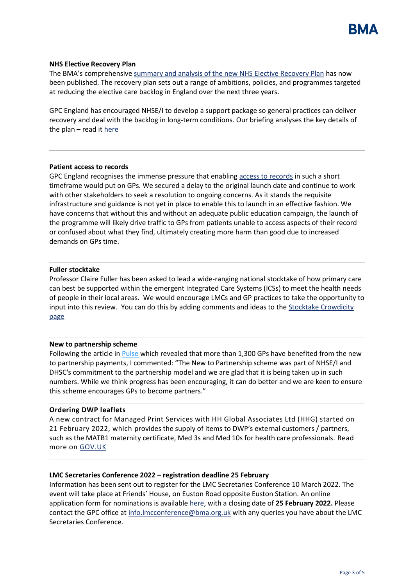

### **NHS Elective Recovery Plan**

The BMA's comprehensive [summary and analysis of the new NHS Elective Recovery Plan](https://protect-eu.mimecast.com/s/iuFFCLJEEiRKzYZIXdznW?domain=bma.org.uk) has now been published. The recovery plan sets out a range of ambitions, policies, and programmes targeted at reducing the elective care backlog in England over the next three years.

GPC England has encouraged NHSE/I to develop a support package so general practices can deliver recovery and deal with the backlog in long-term conditions. Our briefing analyses the key details of the plan  $-$  read it [here](https://protect-eu.mimecast.com/s/iuFFCLJEEiRKzYZIXdznW?domain=bma.org.uk)

### **Patient access to records**

GPC England recognises the immense pressure that enabling [access to records](https://protect-eu.mimecast.com/s/tlzKCM1GGhqXn6AsoLL8j?domain=digital.nhs.uk) in such a short timeframe would put on GPs. We secured a delay to the original launch date and continue to work with other stakeholders to seek a resolution to ongoing concerns. As it stands the requisite infrastructure and guidance is not yet in place to enable this to launch in an effective fashion. We have concerns that without this and without an adequate public education campaign, the launch of the programme will likely drive traffic to GPs from patients unable to access aspects of their record or confused about what they find, ultimately creating more harm than good due to increased demands on GPs time.

## **Fuller stocktake**

Professor Claire Fuller has been asked to lead a wide-ranging national stocktake of how primary care can best be supported within the emergent Integrated Care Systems (ICSs) to meet the health needs of people in their local areas. We would encourage LMCs and GP practices to take the opportunity to input into this review. You can do this by adding comments and ideas to the Stocktake Crowdicity [page](https://protect-eu.mimecast.com/s/65NUCN0JJt07gMGuw3vnY?domain=fullerstocktake.crowdicity.com/)

### **New to partnership scheme**

Following the article in [Pulse](https://protect-eu.mimecast.com/s/mDC5CO8KKHpnB2yU8IruH?domain=pulsetoday.co.uk/) which revealed that more than 1,300 GPs have benefited from the new to partnership payments, I commented: "The New to Partnership scheme was part of NHSE/I and DHSC's commitment to the partnership model and we are glad that it is being taken up in such numbers. While we think progress has been encouraging, it can do better and we are keen to ensure this scheme encourages GPs to become partners."

### **Ordering DWP leaflets**

A new contract for Managed Print Services with HH Global Associates Ltd (HHG) started on 21 February 2022, which provides the supply of items to DWP's external customers / partners, such as the MATB1 maternity certificate, Med 3s and Med 10s for health care professionals. Read more on [GOV.UK](https://protect-eu.mimecast.com/s/XRmYCPQLLfKWL5ksg5gQl?domain=gov.uk)

# **LMC Secretaries Conference 2022 – registration deadline 25 February**

Information has been sent out to register for the LMC Secretaries Conference 10 March 2022. The event will take place at Friends' House, on Euston Road opposite Euston Station. An online application form for nominations is available [here,](https://events.bma.org.uk/lmc-secretaries-conference---10-march-2022/registration/Site/Register) with a closing date of **25 February 2022.** Please contact the GPC office at info. Imcconference@bma.org.uk with any queries you have about the LMC Secretaries Conference.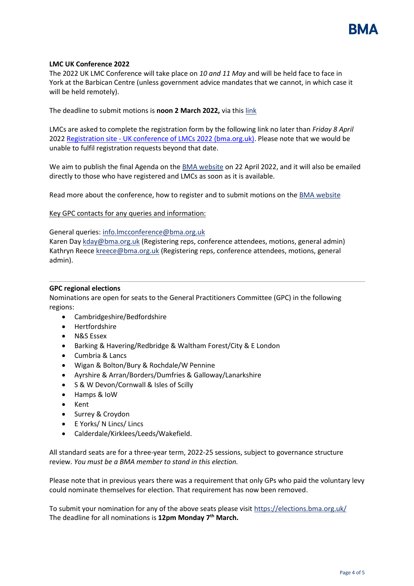

## **LMC UK Conference 2022**

The 2022 UK LMC Conference will take place on *10 and 11 May* and will be held face to face in York at the Barbican Centre (unless government advice mandates that we cannot, in which case it will be held remotely).

The deadline to submit motions is **noon 2 March 2022,** via this [link](https://protect-eu.mimecast.com/s/0y6SCQ7MMckOwNyhLHZQI?domain=web2.bma.org.uk)

LMCs are asked to complete the registration form by the following link no later than *Friday 8 April* 2022 Registration site - [UK conference of LMCs 2022 \(bma.org.uk\).](https://events.bma.org.uk/uk-conference-of-lmcs-2022/registration/Site/Register) Please note that we would be unable to fulfil registration requests beyond that date.

We aim to publish the final Agenda on the [BMA website](https://protect-eu.mimecast.com/s/EwkUCR1NNhvE3gzUgwQfJ?domain=bma.org.uk) on 22 April 2022, and it will also be emailed directly to those who have registered and LMCs as soon as it is available.

Read more about the conference, how to register and to submit motions on the [BMA website](https://protect-eu.mimecast.com/s/EwkUCR1NNhvE3gzUgwQfJ?domain=bma.org.uk)

Key GPC contacts for any queries and information:

General queries: [info.lmcconference@bma.org.uk](mailto:info.lmcconference@bma.org.uk)

Karen Day [kday@bma.org.uk](mailto:kday@bma.org.uk) (Registering reps, conference attendees, motions, general admin) Kathryn Reece [kreece@bma.org.uk](mailto:kreece@bma.org.uk) (Registering reps, conference attendees, motions, general admin).

### **GPC regional elections**

Nominations are open for seats to the General Practitioners Committee (GPC) in the following regions:

- Cambridgeshire/Bedfordshire
- Hertfordshire
- N&S Essex
- Barking & Havering/Redbridge & Waltham Forest/City & E London
- Cumbria & Lancs
- Wigan & Bolton/Bury & Rochdale/W Pennine
- Ayrshire & Arran/Borders/Dumfries & Galloway/Lanarkshire
- S & W Devon/Cornwall & Isles of Scilly
- Hamps & IoW
- Kent
- Surrey & Croydon
- E Yorks/ N Lincs/ Lincs
- Calderdale/Kirklees/Leeds/Wakefield.

All standard seats are for a three-year term, 2022-25 sessions, subject to governance structure review. *You must be a BMA member to stand in this election.*

Please note that in previous years there was a requirement that only GPs who paid the voluntary levy could nominate themselves for election. That requirement has now been removed.

To submit your nomination for any of the above seats please visit [https://elections.bma.org.uk/](https://protect-eu.mimecast.com/s/kTLzCVQRRfx3pPRh9aGN1?domain=elections.bma.org.uk) The deadline for all nominations is **12pm Monday 7th March.**